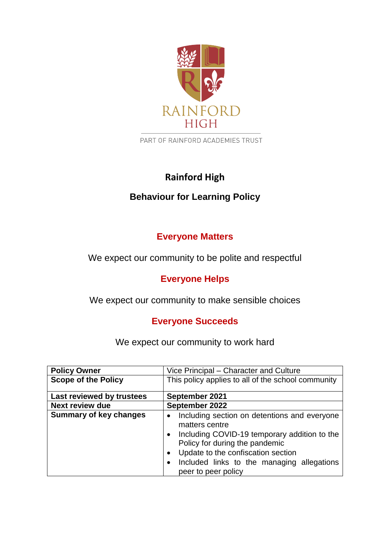

PART OF RAINFORD ACADEMIES TRUST

# **Rainford High**

# **Behaviour for Learning Policy**

# **Everyone Matters**

We expect our community to be polite and respectful

# **Everyone Helps**

We expect our community to make sensible choices

# **Everyone Succeeds**

We expect our community to work hard

| <b>Policy Owner</b>           | Vice Principal – Character and Culture                                                                                                                                                                                                                      |  |
|-------------------------------|-------------------------------------------------------------------------------------------------------------------------------------------------------------------------------------------------------------------------------------------------------------|--|
| <b>Scope of the Policy</b>    | This policy applies to all of the school community                                                                                                                                                                                                          |  |
| Last reviewed by trustees     | September 2021                                                                                                                                                                                                                                              |  |
| Next review due               | September 2022                                                                                                                                                                                                                                              |  |
| <b>Summary of key changes</b> | Including section on detentions and everyone<br>matters centre<br>Including COVID-19 temporary addition to the<br>Policy for during the pandemic<br>Update to the confiscation section<br>Included links to the managing allegations<br>peer to peer policy |  |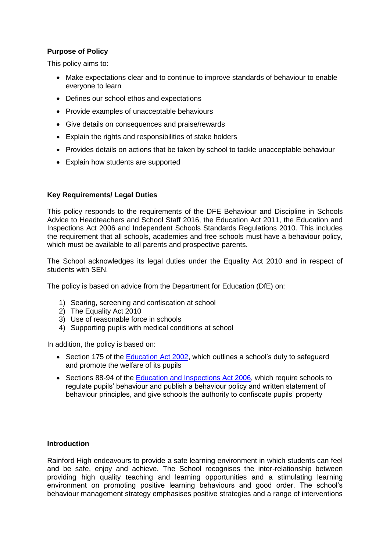# **Purpose of Policy**

This policy aims to:

- Make expectations clear and to continue to improve standards of behaviour to enable everyone to learn
- Defines our school ethos and expectations
- Provide examples of unacceptable behaviours
- Give details on consequences and praise/rewards
- Explain the rights and responsibilities of stake holders
- Provides details on actions that be taken by school to tackle unacceptable behaviour
- Explain how students are supported

# **Key Requirements/ Legal Duties**

This policy responds to the requirements of the DFE Behaviour and Discipline in Schools Advice to Headteachers and School Staff 2016, the Education Act 2011, the Education and Inspections Act 2006 and Independent Schools Standards Regulations 2010. This includes the requirement that all schools, academies and free schools must have a behaviour policy, which must be available to all parents and prospective parents.

The School acknowledges its legal duties under the Equality Act 2010 and in respect of students with SEN.

The policy is based on advice from the Department for Education (DfE) on:

- 1) Searing, screening and confiscation at school
- 2) The Equality Act 2010
- 3) Use of reasonable force in schools
- 4) Supporting pupils with medical conditions at school

In addition, the policy is based on:

- Section 175 of the [Education Act 2002,](http://www.legislation.gov.uk/ukpga/2002/32/section/175) which outlines a school's duty to safeguard and promote the welfare of its pupils
- Sections 88-94 of the [Education and Inspections Act 2006,](http://www.legislation.gov.uk/ukpga/2006/40/section/88) which require schools to regulate pupils' behaviour and publish a behaviour policy and written statement of behaviour principles, and give schools the authority to confiscate pupils' property

# **Introduction**

Rainford High endeavours to provide a safe learning environment in which students can feel and be safe, enjoy and achieve. The School recognises the inter-relationship between providing high quality teaching and learning opportunities and a stimulating learning environment on promoting positive learning behaviours and good order. The school's behaviour management strategy emphasises positive strategies and a range of interventions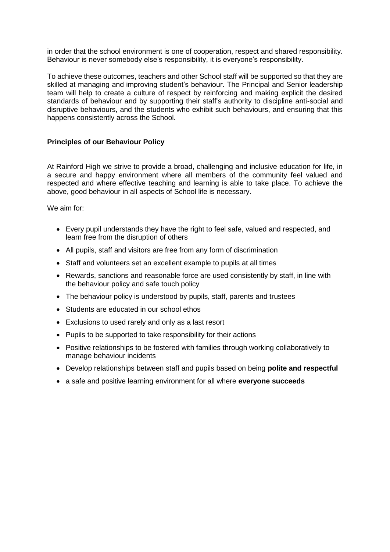in order that the school environment is one of cooperation, respect and shared responsibility. Behaviour is never somebody else's responsibility, it is everyone's responsibility.

To achieve these outcomes, teachers and other School staff will be supported so that they are skilled at managing and improving student's behaviour. The Principal and Senior leadership team will help to create a culture of respect by reinforcing and making explicit the desired standards of behaviour and by supporting their staff's authority to discipline anti-social and disruptive behaviours, and the students who exhibit such behaviours, and ensuring that this happens consistently across the School.

### **Principles of our Behaviour Policy**

At Rainford High we strive to provide a broad, challenging and inclusive education for life, in a secure and happy environment where all members of the community feel valued and respected and where effective teaching and learning is able to take place. To achieve the above, good behaviour in all aspects of School life is necessary.

We aim for:

- Every pupil understands they have the right to feel safe, valued and respected, and learn free from the disruption of others
- All pupils, staff and visitors are free from any form of discrimination
- Staff and volunteers set an excellent example to pupils at all times
- Rewards, sanctions and reasonable force are used consistently by staff, in line with the behaviour policy and safe touch policy
- The behaviour policy is understood by pupils, staff, parents and trustees
- Students are educated in our school ethos
- Exclusions to used rarely and only as a last resort
- Pupils to be supported to take responsibility for their actions
- Positive relationships to be fostered with families through working collaboratively to manage behaviour incidents
- Develop relationships between staff and pupils based on being **polite and respectful**
- a safe and positive learning environment for all where **everyone succeeds**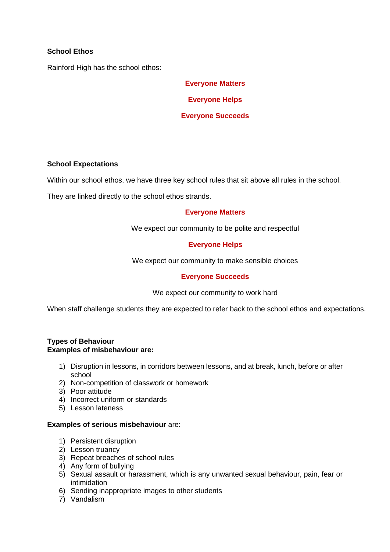# **School Ethos**

Rainford High has the school ethos:

**Everyone Matters Everyone Helps Everyone Succeeds**

#### **School Expectations**

Within our school ethos, we have three key school rules that sit above all rules in the school.

They are linked directly to the school ethos strands.

# **Everyone Matters**

We expect our community to be polite and respectful

# **Everyone Helps**

We expect our community to make sensible choices

# **Everyone Succeeds**

We expect our community to work hard

When staff challenge students they are expected to refer back to the school ethos and expectations.

#### **Types of Behaviour Examples of misbehaviour are:**

- 1) Disruption in lessons, in corridors between lessons, and at break, lunch, before or after school
- 2) Non-competition of classwork or homework
- 3) Poor attitude
- 4) Incorrect uniform or standards
- 5) Lesson lateness

#### **Examples of serious misbehaviour** are:

- 1) Persistent disruption
- 2) Lesson truancy
- 3) Repeat breaches of school rules
- 4) Any form of bullying
- 5) Sexual assault or harassment, which is any unwanted sexual behaviour, pain, fear or intimidation
- 6) Sending inappropriate images to other students
- 7) Vandalism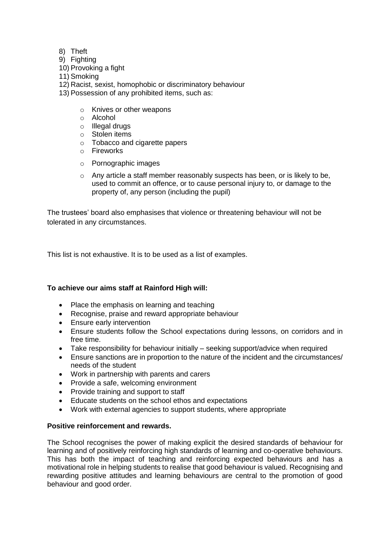- 8) Theft
- 9) Fighting
- 10) Provoking a fight
- 11) Smoking
- 12) Racist, sexist, homophobic or discriminatory behaviour
- 13) Possession of any prohibited items, such as:
	- o Knives or other weapons
	- o Alcohol
	- o Illegal drugs
	- o Stolen items
	- o Tobacco and cigarette papers
	- o Fireworks
	- o Pornographic images
	- o Any article a staff member reasonably suspects has been, or is likely to be, used to commit an offence, or to cause personal injury to, or damage to the property of, any person (including the pupil)

The trustees' board also emphasises that violence or threatening behaviour will not be tolerated in any circumstances.

This list is not exhaustive. It is to be used as a list of examples.

# **To achieve our aims staff at Rainford High will:**

- Place the emphasis on learning and teaching
- Recognise, praise and reward appropriate behaviour
- Ensure early intervention
- Ensure students follow the School expectations during lessons, on corridors and in free time.
- Take responsibility for behaviour initially seeking support/advice when required
- Ensure sanctions are in proportion to the nature of the incident and the circumstances/ needs of the student
- Work in partnership with parents and carers
- Provide a safe, welcoming environment
- Provide training and support to staff
- Educate students on the school ethos and expectations
- Work with external agencies to support students, where appropriate

# **Positive reinforcement and rewards.**

The School recognises the power of making explicit the desired standards of behaviour for learning and of positively reinforcing high standards of learning and co-operative behaviours. This has both the impact of teaching and reinforcing expected behaviours and has a motivational role in helping students to realise that good behaviour is valued. Recognising and rewarding positive attitudes and learning behaviours are central to the promotion of good behaviour and good order.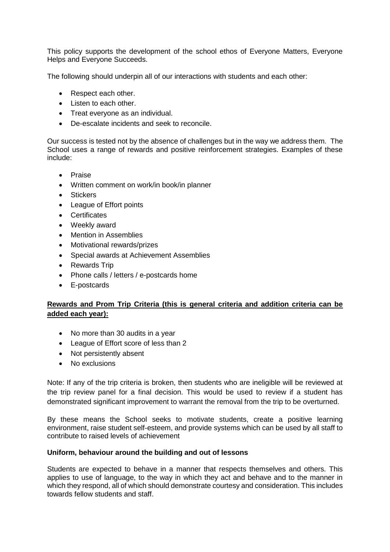This policy supports the development of the school ethos of Everyone Matters, Everyone Helps and Everyone Succeeds.

The following should underpin all of our interactions with students and each other:

- Respect each other.
- Listen to each other.
- Treat everyone as an individual.
- De-escalate incidents and seek to reconcile.

Our success is tested not by the absence of challenges but in the way we address them. The School uses a range of rewards and positive reinforcement strategies. Examples of these include:

- Praise
- Written comment on work/in book/in planner
- Stickers
- League of Effort points
- Certificates
- Weekly award
- Mention in Assemblies
- Motivational rewards/prizes
- Special awards at Achievement Assemblies
- Rewards Trip
- Phone calls / letters / e-postcards home
- E-postcards

# **Rewards and Prom Trip Criteria (this is general criteria and addition criteria can be added each year):**

- No more than 30 audits in a year
- League of Effort score of less than 2
- Not persistently absent
- No exclusions

Note: If any of the trip criteria is broken, then students who are ineligible will be reviewed at the trip review panel for a final decision. This would be used to review if a student has demonstrated significant improvement to warrant the removal from the trip to be overturned.

By these means the School seeks to motivate students, create a positive learning environment, raise student self-esteem, and provide systems which can be used by all staff to contribute to raised levels of achievement

# **Uniform, behaviour around the building and out of lessons**

Students are expected to behave in a manner that respects themselves and others. This applies to use of language, to the way in which they act and behave and to the manner in which they respond, all of which should demonstrate courtesy and consideration. This includes towards fellow students and staff.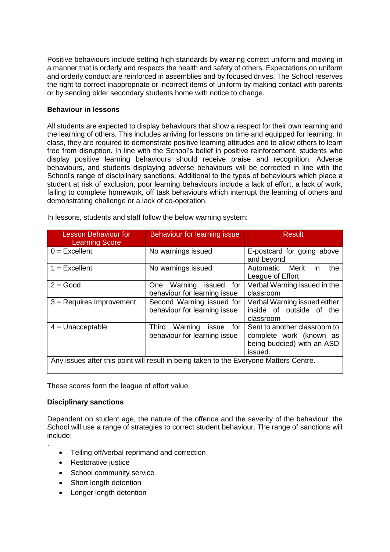Positive behaviours include setting high standards by wearing correct uniform and moving in a manner that is orderly and respects the health and safety of others. Expectations on uniform and orderly conduct are reinforced in assemblies and by focused drives. The School reserves the right to correct inappropriate or incorrect items of uniform by making contact with parents or by sending older secondary students home with notice to change.

# **Behaviour in lessons**

All students are expected to display behaviours that show a respect for their own learning and the learning of others. This includes arriving for lessons on time and equipped for learning. In class, they are required to demonstrate positive learning attitudes and to allow others to learn free from disruption. In line with the School's belief in positive reinforcement, students who display positive learning behaviours should receive praise and recognition. Adverse behaviours, and students displaying adverse behaviours will be corrected in line with the School's range of disciplinary sanctions. Additional to the types of behaviours which place a student at risk of exclusion, poor learning behaviours include a lack of effort, a lack of work, failing to complete homework, off task behaviours which interrupt the learning of others and demonstrating challenge or a lack of co-operation.

| <b>Lesson Behaviour for</b><br><b>Learning Score</b>                                   | Behaviour for learning issue                                  | Result                                                                                           |
|----------------------------------------------------------------------------------------|---------------------------------------------------------------|--------------------------------------------------------------------------------------------------|
| $0 =$ Excellent                                                                        | No warnings issued                                            | E-postcard for going above<br>and beyond                                                         |
| $1 = Excellent$                                                                        | No warnings issued                                            | the<br>Automatic Merit<br>in.<br>League of Effort                                                |
| $2 = Good$                                                                             | Warning issued for<br>One<br>behaviour for learning issue     | Verbal Warning issued in the<br>classroom                                                        |
| $3$ = Requires Improvement                                                             | Second Warning issued for<br>behaviour for learning issue     | Verbal Warning issued either<br>inside of outside of the<br>classroom                            |
| $4 =$ Unacceptable                                                                     | Third Warning<br>issue<br>for<br>behaviour for learning issue | Sent to another classroom to<br>complete work (known as<br>being buddied) with an ASD<br>issued. |
| Any issues after this point will result in being taken to the Everyone Matters Centre. |                                                               |                                                                                                  |

In lessons, students and staff follow the below warning system:

These scores form the league of effort value.

# **Disciplinary sanctions**

.

Dependent on student age, the nature of the offence and the severity of the behaviour, the School will use a range of strategies to correct student behaviour. The range of sanctions will include:

- Telling off/verbal reprimand and correction
- Restorative justice
- School community service
- Short length detention
- Longer length detention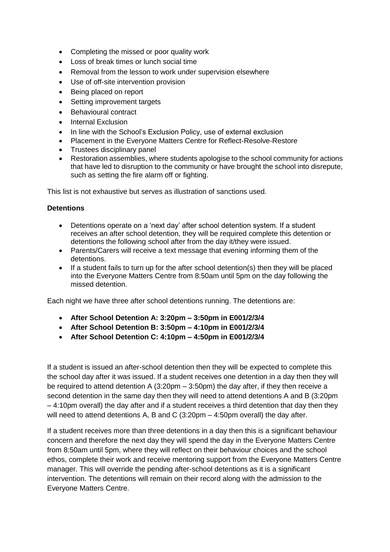- Completing the missed or poor quality work
- Loss of break times or lunch social time
- Removal from the lesson to work under supervision elsewhere
- Use of off-site intervention provision
- Being placed on report
- Setting improvement targets
- Behavioural contract
- Internal Exclusion
- In line with the School's Exclusion Policy, use of external exclusion
- Placement in the Everyone Matters Centre for Reflect-Resolve-Restore
- Trustees disciplinary panel
- Restoration assemblies, where students apologise to the school community for actions that have led to disruption to the community or have brought the school into disrepute, such as setting the fire alarm off or fighting.

This list is not exhaustive but serves as illustration of sanctions used.

# **Detentions**

- Detentions operate on a 'next day' after school detention system. If a student receives an after school detention, they will be required complete this detention or detentions the following school after from the day it/they were issued.
- Parents/Carers will receive a text message that evening informing them of the detentions.
- If a student fails to turn up for the after school detention(s) then they will be placed into the Everyone Matters Centre from 8:50am until 5pm on the day following the missed detention.

Each night we have three after school detentions running. The detentions are:

- **After School Detention A: 3:20pm – 3:50pm in E001/2/3/4**
- **After School Detention B: 3:50pm – 4:10pm in E001/2/3/4**
- **After School Detention C: 4:10pm – 4:50pm in E001/2/3/4**

If a student is issued an after-school detention then they will be expected to complete this the school day after it was issued. If a student receives one detention in a day then they will be required to attend detention A (3:20pm – 3:50pm) the day after, if they then receive a second detention in the same day then they will need to attend detentions A and B (3:20pm – 4:10pm overall) the day after and if a student receives a third detention that day then they will need to attend detentions A, B and C (3:20pm – 4:50pm overall) the day after.

If a student receives more than three detentions in a day then this is a significant behaviour concern and therefore the next day they will spend the day in the Everyone Matters Centre from 8:50am until 5pm, where they will reflect on their behaviour choices and the school ethos, complete their work and receive mentoring support from the Everyone Matters Centre manager. This will override the pending after-school detentions as it is a significant intervention. The detentions will remain on their record along with the admission to the Everyone Matters Centre.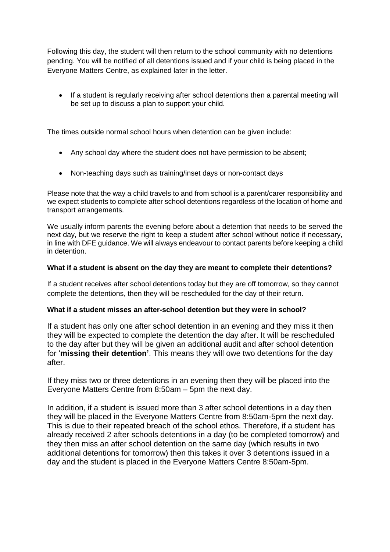Following this day, the student will then return to the school community with no detentions pending. You will be notified of all detentions issued and if your child is being placed in the Everyone Matters Centre, as explained later in the letter.

 If a student is regularly receiving after school detentions then a parental meeting will be set up to discuss a plan to support your child.

The times outside normal school hours when detention can be given include:

- Any school day where the student does not have permission to be absent;
- Non-teaching days such as training/inset days or non-contact days

Please note that the way a child travels to and from school is a parent/carer responsibility and we expect students to complete after school detentions regardless of the location of home and transport arrangements.

We usually inform parents the evening before about a detention that needs to be served the next day, but we reserve the right to keep a student after school without notice if necessary, in line with DFE guidance. We will always endeavour to contact parents before keeping a child in detention.

# **What if a student is absent on the day they are meant to complete their detentions?**

If a student receives after school detentions today but they are off tomorrow, so they cannot complete the detentions, then they will be rescheduled for the day of their return.

# **What if a student misses an after-school detention but they were in school?**

If a student has only one after school detention in an evening and they miss it then they will be expected to complete the detention the day after. It will be rescheduled to the day after but they will be given an additional audit and after school detention for '**missing their detention'**. This means they will owe two detentions for the day after.

If they miss two or three detentions in an evening then they will be placed into the Everyone Matters Centre from 8:50am – 5pm the next day.

In addition, if a student is issued more than 3 after school detentions in a day then they will be placed in the Everyone Matters Centre from 8:50am-5pm the next day. This is due to their repeated breach of the school ethos. Therefore, if a student has already received 2 after schools detentions in a day (to be completed tomorrow) and they then miss an after school detention on the same day (which results in two additional detentions for tomorrow) then this takes it over 3 detentions issued in a day and the student is placed in the Everyone Matters Centre 8:50am-5pm.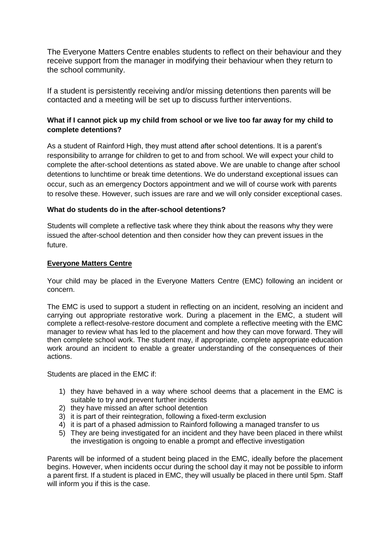The Everyone Matters Centre enables students to reflect on their behaviour and they receive support from the manager in modifying their behaviour when they return to the school community.

If a student is persistently receiving and/or missing detentions then parents will be contacted and a meeting will be set up to discuss further interventions.

# **What if I cannot pick up my child from school or we live too far away for my child to complete detentions?**

As a student of Rainford High, they must attend after school detentions. It is a parent's responsibility to arrange for children to get to and from school. We will expect your child to complete the after-school detentions as stated above. We are unable to change after school detentions to lunchtime or break time detentions. We do understand exceptional issues can occur, such as an emergency Doctors appointment and we will of course work with parents to resolve these. However, such issues are rare and we will only consider exceptional cases.

# **What do students do in the after-school detentions?**

Students will complete a reflective task where they think about the reasons why they were issued the after-school detention and then consider how they can prevent issues in the future.

# **Everyone Matters Centre**

Your child may be placed in the Everyone Matters Centre (EMC) following an incident or concern.

The EMC is used to support a student in reflecting on an incident, resolving an incident and carrying out appropriate restorative work. During a placement in the EMC, a student will complete a reflect-resolve-restore document and complete a reflective meeting with the EMC manager to review what has led to the placement and how they can move forward. They will then complete school work. The student may, if appropriate, complete appropriate education work around an incident to enable a greater understanding of the consequences of their actions.

Students are placed in the EMC if:

- 1) they have behaved in a way where school deems that a placement in the EMC is suitable to try and prevent further incidents
- 2) they have missed an after school detention
- 3) it is part of their reintegration, following a fixed-term exclusion
- 4) it is part of a phased admission to Rainford following a managed transfer to us
- 5) They are being investigated for an incident and they have been placed in there whilst the investigation is ongoing to enable a prompt and effective investigation

Parents will be informed of a student being placed in the EMC, ideally before the placement begins. However, when incidents occur during the school day it may not be possible to inform a parent first. If a student is placed in EMC, they will usually be placed in there until 5pm. Staff will inform you if this is the case.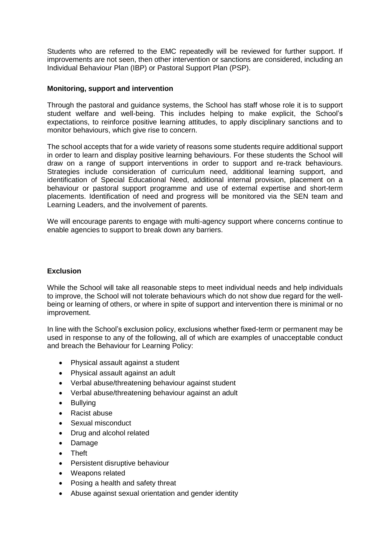Students who are referred to the EMC repeatedly will be reviewed for further support. If improvements are not seen, then other intervention or sanctions are considered, including an Individual Behaviour Plan (IBP) or Pastoral Support Plan (PSP).

#### **Monitoring, support and intervention**

Through the pastoral and guidance systems, the School has staff whose role it is to support student welfare and well-being. This includes helping to make explicit, the School's expectations, to reinforce positive learning attitudes, to apply disciplinary sanctions and to monitor behaviours, which give rise to concern.

The school accepts that for a wide variety of reasons some students require additional support in order to learn and display positive learning behaviours. For these students the School will draw on a range of support interventions in order to support and re-track behaviours. Strategies include consideration of curriculum need, additional learning support, and identification of Special Educational Need, additional internal provision, placement on a behaviour or pastoral support programme and use of external expertise and short-term placements. Identification of need and progress will be monitored via the SEN team and Learning Leaders, and the involvement of parents.

We will encourage parents to engage with multi-agency support where concerns continue to enable agencies to support to break down any barriers.

#### **Exclusion**

While the School will take all reasonable steps to meet individual needs and help individuals to improve, the School will not tolerate behaviours which do not show due regard for the wellbeing or learning of others, or where in spite of support and intervention there is minimal or no improvement.

In line with the School's exclusion policy, exclusions whether fixed-term or permanent may be used in response to any of the following, all of which are examples of unacceptable conduct and breach the Behaviour for Learning Policy:

- Physical assault against a student
- Physical assault against an adult
- Verbal abuse/threatening behaviour against student
- Verbal abuse/threatening behaviour against an adult
- Bullving
- Racist abuse
- Sexual misconduct
- Drug and alcohol related
- Damage
- Theft
- Persistent disruptive behaviour
- Weapons related
- Posing a health and safety threat
- Abuse against sexual orientation and gender identity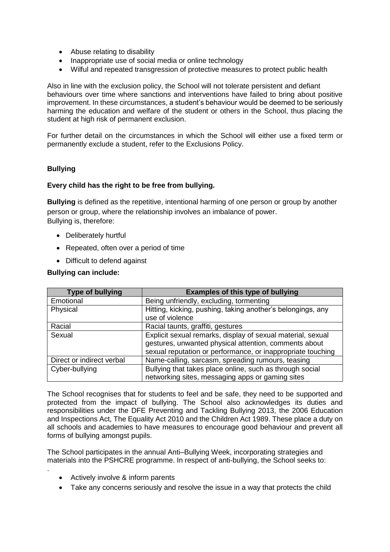- Abuse relating to disability
- Inappropriate use of social media or online technology
- Wilful and repeated transgression of protective measures to protect public health

Also in line with the exclusion policy, the School will not tolerate persistent and defiant behaviours over time where sanctions and interventions have failed to bring about positive improvement. In these circumstances, a student's behaviour would be deemed to be seriously harming the education and welfare of the student or others in the School, thus placing the student at high risk of permanent exclusion.

For further detail on the circumstances in which the School will either use a fixed term or permanently exclude a student, refer to the Exclusions Policy.

# **Bullying**

# **Every child has the right to be free from bullying.**

**Bullying** is defined as the repetitive, intentional harming of one person or group by another person or group, where the relationship involves an imbalance of power. Bullying is, therefore:

- Deliberately hurtful
- Repeated, often over a period of time
- Difficult to defend against

# **Bullying can include:**

| <b>Type of bullying</b>   | <b>Examples of this type of bullying</b>                                                                                                                                            |
|---------------------------|-------------------------------------------------------------------------------------------------------------------------------------------------------------------------------------|
| Emotional                 | Being unfriendly, excluding, tormenting                                                                                                                                             |
| Physical                  | Hitting, kicking, pushing, taking another's belongings, any<br>use of violence                                                                                                      |
| Racial                    | Racial taunts, graffiti, gestures                                                                                                                                                   |
| Sexual                    | Explicit sexual remarks, display of sexual material, sexual<br>gestures, unwanted physical attention, comments about<br>sexual reputation or performance, or inappropriate touching |
| Direct or indirect verbal | Name-calling, sarcasm, spreading rumours, teasing                                                                                                                                   |
| Cyber-bullying            | Bullying that takes place online, such as through social<br>networking sites, messaging apps or gaming sites                                                                        |

The School recognises that for students to feel and be safe, they need to be supported and protected from the impact of bullying. The School also acknowledges its duties and responsibilities under the DFE Preventing and Tackling Bullying 2013, the 2006 Education and Inspections Act, The Equality Act 2010 and the Children Act 1989. These place a duty on all schools and academies to have measures to encourage good behaviour and prevent all forms of bullying amongst pupils.

The School participates in the annual Anti–Bullying Week, incorporating strategies and materials into the PSHCRE programme. In respect of anti-bullying, the School seeks to:

• Actively involve & inform parents

.

Take any concerns seriously and resolve the issue in a way that protects the child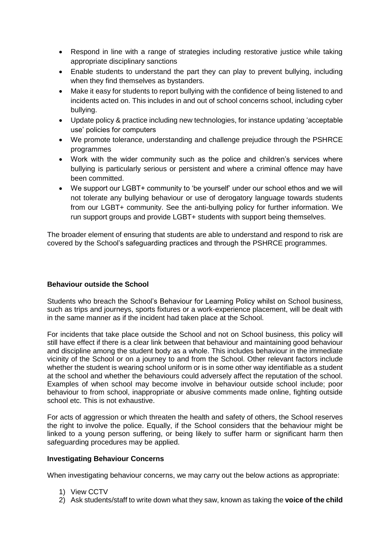- Respond in line with a range of strategies including restorative justice while taking appropriate disciplinary sanctions
- Enable students to understand the part they can play to prevent bullying, including when they find themselves as bystanders.
- Make it easy for students to report bullying with the confidence of being listened to and incidents acted on. This includes in and out of school concerns school, including cyber bullying.
- Update policy & practice including new technologies, for instance updating 'acceptable use' policies for computers
- We promote tolerance, understanding and challenge prejudice through the PSHRCE programmes
- Work with the wider community such as the police and children's services where bullying is particularly serious or persistent and where a criminal offence may have been committed.
- We support our LGBT+ community to 'be yourself' under our school ethos and we will not tolerate any bullying behaviour or use of derogatory language towards students from our LGBT+ community. See the anti-bullying policy for further information. We run support groups and provide LGBT+ students with support being themselves.

The broader element of ensuring that students are able to understand and respond to risk are covered by the School's safeguarding practices and through the PSHRCE programmes.

# **Behaviour outside the School**

Students who breach the School's Behaviour for Learning Policy whilst on School business, such as trips and journeys, sports fixtures or a work-experience placement, will be dealt with in the same manner as if the incident had taken place at the School.

For incidents that take place outside the School and not on School business, this policy will still have effect if there is a clear link between that behaviour and maintaining good behaviour and discipline among the student body as a whole. This includes behaviour in the immediate vicinity of the School or on a journey to and from the School. Other relevant factors include whether the student is wearing school uniform or is in some other way identifiable as a student at the school and whether the behaviours could adversely affect the reputation of the school. Examples of when school may become involve in behaviour outside school include; poor behaviour to from school, inappropriate or abusive comments made online, fighting outside school etc. This is not exhaustive.

For acts of aggression or which threaten the health and safety of others, the School reserves the right to involve the police. Equally, if the School considers that the behaviour might be linked to a young person suffering, or being likely to suffer harm or significant harm then safeguarding procedures may be applied.

# **Investigating Behaviour Concerns**

When investigating behaviour concerns, we may carry out the below actions as appropriate:

- 1) View CCTV
- 2) Ask students/staff to write down what they saw, known as taking the **voice of the child**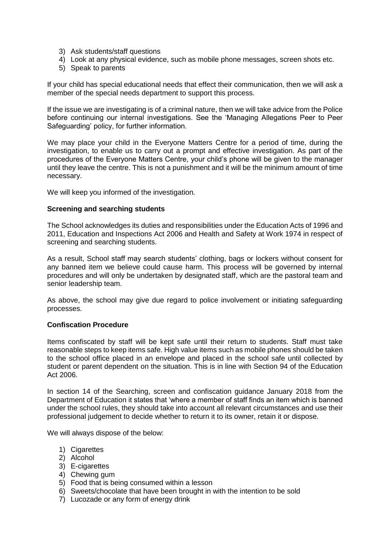- 3) Ask students/staff questions
- 4) Look at any physical evidence, such as mobile phone messages, screen shots etc.
- 5) Speak to parents

If your child has special educational needs that effect their communication, then we will ask a member of the special needs department to support this process.

If the issue we are investigating is of a criminal nature, then we will take advice from the Police before continuing our internal investigations. See the 'Managing Allegations Peer to Peer Safeguarding' policy, for further information.

We may place your child in the Everyone Matters Centre for a period of time, during the investigation, to enable us to carry out a prompt and effective investigation. As part of the procedures of the Everyone Matters Centre, your child's phone will be given to the manager until they leave the centre. This is not a punishment and it will be the minimum amount of time necessary.

We will keep you informed of the investigation.

#### **Screening and searching students**

The School acknowledges its duties and responsibilities under the Education Acts of 1996 and 2011, Education and Inspections Act 2006 and Health and Safety at Work 1974 in respect of screening and searching students.

As a result, School staff may search students' clothing, bags or lockers without consent for any banned item we believe could cause harm. This process will be governed by internal procedures and will only be undertaken by designated staff, which are the pastoral team and senior leadership team.

As above, the school may give due regard to police involvement or initiating safeguarding processes.

#### **Confiscation Procedure**

Items confiscated by staff will be kept safe until their return to students. Staff must take reasonable steps to keep items safe. High value items such as mobile phones should be taken to the school office placed in an envelope and placed in the school safe until collected by student or parent dependent on the situation. This is in line with Section 94 of the Education Act 2006.

In section 14 of the Searching, screen and confiscation guidance January 2018 from the Department of Education it states that 'where a member of staff finds an item which is banned under the school rules, they should take into account all relevant circumstances and use their professional judgement to decide whether to return it to its owner, retain it or dispose.

We will always dispose of the below:

- 1) Cigarettes
- 2) Alcohol
- 3) E-cigarettes
- 4) Chewing gum
- 5) Food that is being consumed within a lesson
- 6) Sweets/chocolate that have been brought in with the intention to be sold
- 7) Lucozade or any form of energy drink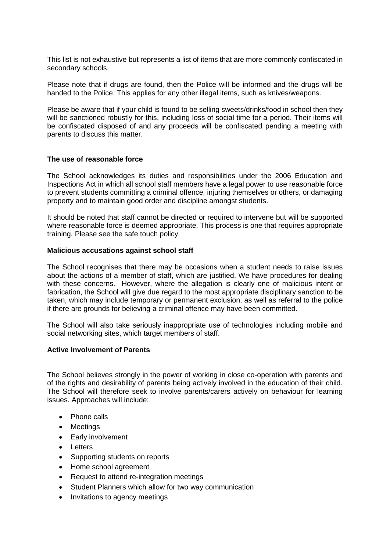This list is not exhaustive but represents a list of items that are more commonly confiscated in secondary schools.

Please note that if drugs are found, then the Police will be informed and the drugs will be handed to the Police. This applies for any other illegal items, such as knives/weapons.

Please be aware that if your child is found to be selling sweets/drinks/food in school then they will be sanctioned robustly for this, including loss of social time for a period. Their items will be confiscated disposed of and any proceeds will be confiscated pending a meeting with parents to discuss this matter.

#### **The use of reasonable force**

The School acknowledges its duties and responsibilities under the 2006 Education and Inspections Act in which all school staff members have a legal power to use reasonable force to prevent students committing a criminal offence, injuring themselves or others, or damaging property and to maintain good order and discipline amongst students.

It should be noted that staff cannot be directed or required to intervene but will be supported where reasonable force is deemed appropriate. This process is one that requires appropriate training. Please see the safe touch policy.

#### **Malicious accusations against school staff**

The School recognises that there may be occasions when a student needs to raise issues about the actions of a member of staff, which are justified. We have procedures for dealing with these concerns. However, where the allegation is clearly one of malicious intent or fabrication, the School will give due regard to the most appropriate disciplinary sanction to be taken, which may include temporary or permanent exclusion, as well as referral to the police if there are grounds for believing a criminal offence may have been committed.

The School will also take seriously inappropriate use of technologies including mobile and social networking sites, which target members of staff.

#### **Active Involvement of Parents**

The School believes strongly in the power of working in close co-operation with parents and of the rights and desirability of parents being actively involved in the education of their child. The School will therefore seek to involve parents/carers actively on behaviour for learning issues. Approaches will include:

- Phone calls
- Meetings
- Early involvement
- **•** Letters
- Supporting students on reports
- Home school agreement
- Request to attend re-integration meetings
- Student Planners which allow for two way communication
- Invitations to agency meetings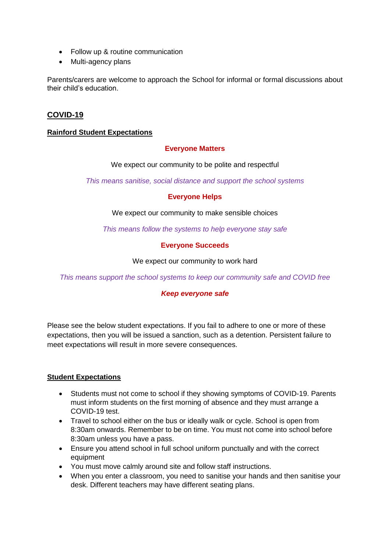- Follow up & routine communication
- Multi-agency plans

Parents/carers are welcome to approach the School for informal or formal discussions about their child's education.

# **COVID-19**

### **Rainford Student Expectations**

# **Everyone Matters**

We expect our community to be polite and respectful

*This means sanitise, social distance and support the school systems*

#### **Everyone Helps**

We expect our community to make sensible choices

*This means follow the systems to help everyone stay safe*

#### **Everyone Succeeds**

We expect our community to work hard

*This means support the school systems to keep our community safe and COVID free*

# *Keep everyone safe*

Please see the below student expectations. If you fail to adhere to one or more of these expectations, then you will be issued a sanction, such as a detention. Persistent failure to meet expectations will result in more severe consequences.

#### **Student Expectations**

- Students must not come to school if they showing symptoms of COVID-19. Parents must inform students on the first morning of absence and they must arrange a COVID-19 test.
- Travel to school either on the bus or ideally walk or cycle. School is open from 8:30am onwards. Remember to be on time. You must not come into school before 8:30am unless you have a pass.
- Ensure you attend school in full school uniform punctually and with the correct equipment
- You must move calmly around site and follow staff instructions.
- When you enter a classroom, you need to sanitise your hands and then sanitise your desk. Different teachers may have different seating plans.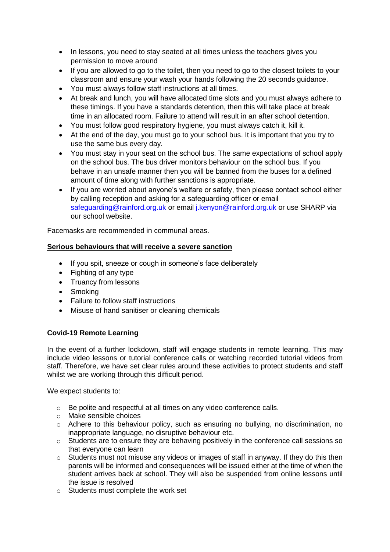- In lessons, you need to stay seated at all times unless the teachers gives you permission to move around
- If you are allowed to go to the toilet, then you need to go to the closest toilets to your classroom and ensure your wash your hands following the 20 seconds guidance.
- You must always follow staff instructions at all times.
- At break and lunch, you will have allocated time slots and you must always adhere to these timings. If you have a standards detention, then this will take place at break time in an allocated room. Failure to attend will result in an after school detention.
- You must follow good respiratory hygiene, you must always catch it, kill it.
- At the end of the day, you must go to your school bus. It is important that you try to use the same bus every day.
- You must stay in your seat on the school bus. The same expectations of school apply on the school bus. The bus driver monitors behaviour on the school bus. If you behave in an unsafe manner then you will be banned from the buses for a defined amount of time along with further sanctions is appropriate.
- If you are worried about anyone's welfare or safety, then please contact school either by calling reception and asking for a safeguarding officer or email [safeguarding@rainford.org.uk](mailto:safeguarding@rainford.org.uk) or email *i.kenvon@rainford.org.uk or use SHARP via* our school website.

Facemasks are recommended in communal areas.

# **Serious behaviours that will receive a severe sanction**

- If you spit, sneeze or cough in someone's face deliberately
- Fighting of any type
- Truancy from lessons
- Smoking
- Failure to follow staff instructions
- Misuse of hand sanitiser or cleaning chemicals

# **Covid-19 Remote Learning**

In the event of a further lockdown, staff will engage students in remote learning. This may include video lessons or tutorial conference calls or watching recorded tutorial videos from staff. Therefore, we have set clear rules around these activities to protect students and staff whilst we are working through this difficult period.

We expect students to:

- o Be polite and respectful at all times on any video conference calls.
- o Make sensible choices
- o Adhere to this behaviour policy, such as ensuring no bullying, no discrimination, no inappropriate language, no disruptive behaviour etc.
- o Students are to ensure they are behaving positively in the conference call sessions so that everyone can learn
- o Students must not misuse any videos or images of staff in anyway. If they do this then parents will be informed and consequences will be issued either at the time of when the student arrives back at school. They will also be suspended from online lessons until the issue is resolved
- o Students must complete the work set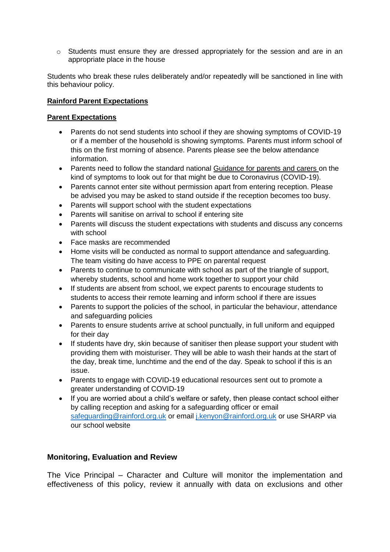$\circ$  Students must ensure they are dressed appropriately for the session and are in an appropriate place in the house

Students who break these rules deliberately and/or repeatedly will be sanctioned in line with this behaviour policy.

# **Rainford Parent Expectations**

# **Parent Expectations**

- Parents do not send students into school if they are showing symptoms of COVID-19 or if a member of the household is showing symptoms. Parents must inform school of this on the first morning of absence. Parents please see the below attendance information.
- Parents need to follow the standard national [Guidance for parents and carers](https://www.gov.uk/government/publications/closure-of-educational-settings-information-for-parents-and-carers) on the kind of symptoms to look out for that might be due to Coronavirus (COVID-19).
- Parents cannot enter site without permission apart from entering reception. Please be advised you may be asked to stand outside if the reception becomes too busy.
- Parents will support school with the student expectations
- Parents will sanitise on arrival to school if entering site
- Parents will discuss the student expectations with students and discuss any concerns with school
- Face masks are recommended
- Home visits will be conducted as normal to support attendance and safeguarding. The team visiting do have access to PPE on parental request
- Parents to continue to communicate with school as part of the triangle of support, whereby students, school and home work together to support your child
- If students are absent from school, we expect parents to encourage students to students to access their remote learning and inform school if there are issues
- Parents to support the policies of the school, in particular the behaviour, attendance and safeguarding policies
- Parents to ensure students arrive at school punctually, in full uniform and equipped for their day
- If students have dry, skin because of sanitiser then please support your student with providing them with moisturiser. They will be able to wash their hands at the start of the day, break time, lunchtime and the end of the day. Speak to school if this is an issue.
- Parents to engage with COVID-19 educational resources sent out to promote a greater understanding of COVID-19
- If you are worried about a child's welfare or safety, then please contact school either by calling reception and asking for a safeguarding officer or email [safeguarding@rainford.org.uk](mailto:safeguarding@rainford.org.uk) or email [j.kenyon@rainford.org.uk](mailto:j.kenyon@rainford.org.uk) or use SHARP via our school website

# **Monitoring, Evaluation and Review**

The Vice Principal – Character and Culture will monitor the implementation and effectiveness of this policy, review it annually with data on exclusions and other